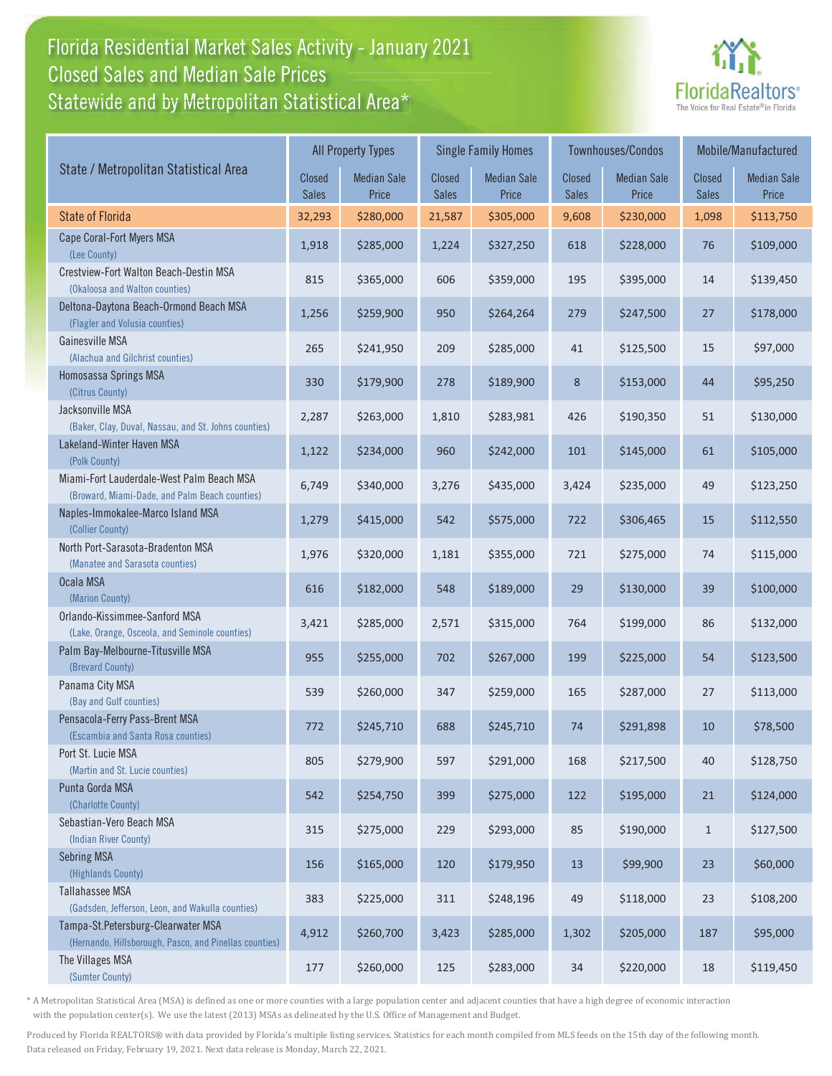#### Florida Residential Market Sales Activity - January 2021 Florida Residential Market Sales Activity Statewide and by Metropolitan Statistical Area $^{\star}$ Closed Sales and Median Sale Prices



|                                                                                              |                               | <b>All Property Types</b>   |                        | <b>Single Family Homes</b>  |                        | Townhouses/Condos           | Mobile/Manufactured           |                             |
|----------------------------------------------------------------------------------------------|-------------------------------|-----------------------------|------------------------|-----------------------------|------------------------|-----------------------------|-------------------------------|-----------------------------|
| State / Metropolitan Statistical Area                                                        | <b>Closed</b><br><b>Sales</b> | <b>Median Sale</b><br>Price | Closed<br><b>Sales</b> | <b>Median Sale</b><br>Price | Closed<br><b>Sales</b> | <b>Median Sale</b><br>Price | <b>Closed</b><br><b>Sales</b> | <b>Median Sale</b><br>Price |
| <b>State of Florida</b>                                                                      | 32,293                        | \$280,000                   | 21,587                 | \$305,000                   | 9,608                  | \$230,000                   | 1,098                         | \$113,750                   |
| Cape Coral-Fort Myers MSA<br>(Lee County)                                                    | 1,918                         | \$285,000                   | 1,224                  | \$327,250                   | 618                    | \$228,000                   | 76                            | \$109,000                   |
| Crestview-Fort Walton Beach-Destin MSA<br>(Okaloosa and Walton counties)                     | 815                           | \$365,000                   | 606                    | \$359,000                   | 195                    | \$395,000                   | 14                            | \$139,450                   |
| Deltona-Daytona Beach-Ormond Beach MSA<br>(Flagler and Volusia counties)                     | 1,256                         | \$259,900                   | 950                    | \$264,264                   | 279                    | \$247,500                   | 27                            | \$178,000                   |
| Gainesville MSA<br>(Alachua and Gilchrist counties)                                          | 265                           | \$241,950                   | 209                    | \$285,000                   | 41                     | \$125,500                   | 15                            | \$97,000                    |
| Homosassa Springs MSA<br>(Citrus County)                                                     | 330                           | \$179,900                   | 278                    | \$189,900                   | 8                      | \$153,000                   | 44                            | \$95,250                    |
| Jacksonville MSA<br>(Baker, Clay, Duval, Nassau, and St. Johns counties)                     | 2,287                         | \$263,000                   | 1,810                  | \$283,981                   | 426                    | \$190,350                   | 51                            | \$130,000                   |
| Lakeland-Winter Haven MSA<br>(Polk County)                                                   | 1,122                         | \$234,000                   | 960                    | \$242,000                   | 101                    | \$145,000                   | 61                            | \$105,000                   |
| Miami-Fort Lauderdale-West Palm Beach MSA<br>(Broward, Miami-Dade, and Palm Beach counties)  | 6,749                         | \$340,000                   | 3,276                  | \$435,000                   | 3,424                  | \$235,000                   | 49                            | \$123,250                   |
| Naples-Immokalee-Marco Island MSA<br>(Collier County)                                        | 1,279                         | \$415,000                   | 542                    | \$575,000                   | 722                    | \$306,465                   | 15                            | \$112,550                   |
| North Port-Sarasota-Bradenton MSA<br>(Manatee and Sarasota counties)                         | 1,976                         | \$320,000                   | 1,181                  | \$355,000                   | 721                    | \$275,000                   | 74                            | \$115,000                   |
| Ocala MSA<br>(Marion County)                                                                 | 616                           | \$182,000                   | 548                    | \$189,000                   | 29                     | \$130,000                   | 39                            | \$100,000                   |
| Orlando-Kissimmee-Sanford MSA<br>(Lake, Orange, Osceola, and Seminole counties)              | 3,421                         | \$285,000                   | 2,571                  | \$315,000                   | 764                    | \$199,000                   | 86                            | \$132,000                   |
| Palm Bay-Melbourne-Titusville MSA<br>(Brevard County)                                        | 955                           | \$255,000                   | 702                    | \$267,000                   | 199                    | \$225,000                   | 54                            | \$123,500                   |
| Panama City MSA<br>(Bay and Gulf counties)                                                   | 539                           | \$260,000                   | 347                    | \$259,000                   | 165                    | \$287,000                   | 27                            | \$113,000                   |
| Pensacola-Ferry Pass-Brent MSA<br>(Escambia and Santa Rosa counties)                         | 772                           | \$245,710                   | 688                    | \$245,710                   | 74                     | \$291,898                   | 10                            | \$78,500                    |
| Port St. Lucie MSA<br>(Martin and St. Lucie counties)                                        | 805                           | \$279,900                   | 597                    | \$291,000                   | 168                    | \$217,500                   | 40                            | \$128,750                   |
| Punta Gorda MSA<br>(Charlotte County)                                                        | 542                           | \$254,750                   | 399                    | \$275,000                   | 122                    | \$195,000                   | 21                            | \$124,000                   |
| Sebastian-Vero Beach MSA<br>(Indian River County)                                            | 315                           | \$275,000                   | 229                    | \$293,000                   | 85                     | \$190,000                   | $\mathbf{1}$                  | \$127,500                   |
| <b>Sebring MSA</b><br>(Highlands County)                                                     | 156                           | \$165,000                   | 120                    | \$179,950                   | 13                     | \$99,900                    | 23                            | \$60,000                    |
| <b>Tallahassee MSA</b><br>(Gadsden, Jefferson, Leon, and Wakulla counties)                   | 383                           | \$225,000                   | 311                    | \$248,196                   | 49                     | \$118,000                   | 23                            | \$108,200                   |
| Tampa-St.Petersburg-Clearwater MSA<br>(Hernando, Hillsborough, Pasco, and Pinellas counties) | 4,912                         | \$260,700                   | 3,423                  | \$285,000                   | 1,302                  | \$205,000                   | 187                           | \$95,000                    |
| The Villages MSA<br>(Sumter County)                                                          | 177                           | \$260,000                   | 125                    | \$283,000                   | 34                     | \$220,000                   | 18                            | \$119,450                   |

\* A Metropolitan Statistical Area (MSA) is defined as one or more counties with a large population center and adjacent counties that have a high degree of economic interaction with the population center(s). We use the latest (2013) MSAs as delineated by the U.S. Office of Management and Budget.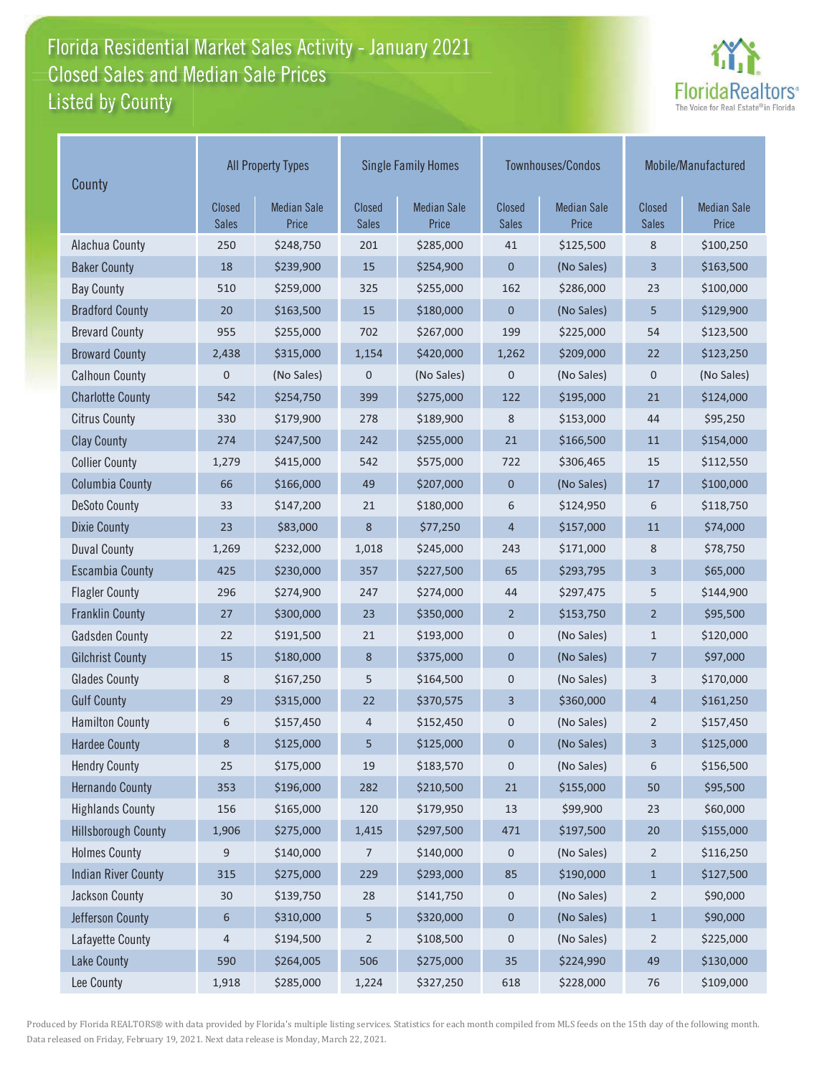#### Florida Residential Market Sales Activity - January 2021 Florida Residential Market Sales Activity Listed by County Closed Sales and Median Sale Prices



| County                     | <b>All Property Types</b> |                             |                               | <b>Single Family Homes</b>  |                               | Townhouses/Condos           | Mobile/Manufactured           |                             |
|----------------------------|---------------------------|-----------------------------|-------------------------------|-----------------------------|-------------------------------|-----------------------------|-------------------------------|-----------------------------|
|                            | Closed<br><b>Sales</b>    | <b>Median Sale</b><br>Price | <b>Closed</b><br><b>Sales</b> | <b>Median Sale</b><br>Price | <b>Closed</b><br><b>Sales</b> | <b>Median Sale</b><br>Price | <b>Closed</b><br><b>Sales</b> | <b>Median Sale</b><br>Price |
| Alachua County             | 250                       | \$248,750                   | 201                           | \$285,000                   | 41                            | \$125,500                   | 8                             | \$100,250                   |
| <b>Baker County</b>        | 18                        | \$239,900                   | 15                            | \$254,900                   | $\mathbf 0$                   | (No Sales)                  | 3                             | \$163,500                   |
| <b>Bay County</b>          | 510                       | \$259,000                   | 325                           | \$255,000                   | 162                           | \$286,000                   | 23                            | \$100,000                   |
| <b>Bradford County</b>     | 20                        | \$163,500                   | 15                            | \$180,000                   | $\mathbf 0$                   | (No Sales)                  | 5                             | \$129,900                   |
| <b>Brevard County</b>      | 955                       | \$255,000                   | 702                           | \$267,000                   | 199                           | \$225,000                   | 54                            | \$123,500                   |
| <b>Broward County</b>      | 2,438                     | \$315,000                   | 1,154                         | \$420,000                   | 1,262                         | \$209,000                   | 22                            | \$123,250                   |
| <b>Calhoun County</b>      | $\mathbf 0$               | (No Sales)                  | $\mathbf 0$                   | (No Sales)                  | $\mathbf 0$                   | (No Sales)                  | 0                             | (No Sales)                  |
| <b>Charlotte County</b>    | 542                       | \$254,750                   | 399                           | \$275,000                   | 122                           | \$195,000                   | 21                            | \$124,000                   |
| <b>Citrus County</b>       | 330                       | \$179,900                   | 278                           | \$189,900                   | 8                             | \$153,000                   | 44                            | \$95,250                    |
| <b>Clay County</b>         | 274                       | \$247,500                   | 242                           | \$255,000                   | 21                            | \$166,500                   | 11                            | \$154,000                   |
| <b>Collier County</b>      | 1,279                     | \$415,000                   | 542                           | \$575,000                   | 722                           | \$306,465                   | 15                            | \$112,550                   |
| <b>Columbia County</b>     | 66                        | \$166,000                   | 49                            | \$207,000                   | $\mathbf 0$                   | (No Sales)                  | $17$                          | \$100,000                   |
| <b>DeSoto County</b>       | 33                        | \$147,200                   | 21                            | \$180,000                   | 6                             | \$124,950                   | 6                             | \$118,750                   |
| <b>Dixie County</b>        | 23                        | \$83,000                    | 8                             | \$77,250                    | 4                             | \$157,000                   | 11                            | \$74,000                    |
| <b>Duval County</b>        | 1,269                     | \$232,000                   | 1,018                         | \$245,000                   | 243                           | \$171,000                   | 8                             | \$78,750                    |
| <b>Escambia County</b>     | 425                       | \$230,000                   | 357                           | \$227,500                   | 65                            | \$293,795                   | 3                             | \$65,000                    |
| <b>Flagler County</b>      | 296                       | \$274,900                   | 247                           | \$274,000                   | 44                            | \$297,475                   | 5                             | \$144,900                   |
| <b>Franklin County</b>     | 27                        | \$300,000                   | 23                            | \$350,000                   | $\overline{2}$                | \$153,750                   | $\overline{2}$                | \$95,500                    |
| <b>Gadsden County</b>      | 22                        | \$191,500                   | 21                            | \$193,000                   | 0                             | (No Sales)                  | $\mathbf{1}$                  | \$120,000                   |
| <b>Gilchrist County</b>    | 15                        | \$180,000                   | 8                             | \$375,000                   | $\pmb{0}$                     | (No Sales)                  | 7                             | \$97,000                    |
| <b>Glades County</b>       | 8                         | \$167,250                   | 5                             | \$164,500                   | $\mathbf 0$                   | (No Sales)                  | 3                             | \$170,000                   |
| <b>Gulf County</b>         | 29                        | \$315,000                   | 22                            | \$370,575                   | 3                             | \$360,000                   | 4                             | \$161,250                   |
| <b>Hamilton County</b>     | 6                         | \$157,450                   | 4                             | \$152,450                   | 0                             | (No Sales)                  | 2                             | \$157,450                   |
| <b>Hardee County</b>       | 8                         | \$125,000                   | 5                             | \$125,000                   | $\mathbf 0$                   | (No Sales)                  | 3                             | \$125,000                   |
| <b>Hendry County</b>       | 25                        | \$175,000                   | 19                            | \$183,570                   | 0                             | (No Sales)                  | 6                             | \$156,500                   |
| <b>Hernando County</b>     | 353                       | \$196,000                   | 282                           | \$210,500                   | 21                            | \$155,000                   | 50                            | \$95,500                    |
| <b>Highlands County</b>    | 156                       | \$165,000                   | 120                           | \$179,950                   | 13                            | \$99,900                    | 23                            | \$60,000                    |
| <b>Hillsborough County</b> | 1,906                     | \$275,000                   | 1,415                         | \$297,500                   | 471                           | \$197,500                   | 20                            | \$155,000                   |
| <b>Holmes County</b>       | 9                         | \$140,000                   | 7                             | \$140,000                   | 0                             | (No Sales)                  | $\overline{2}$                | \$116,250                   |
| <b>Indian River County</b> | 315                       | \$275,000                   | 229                           | \$293,000                   | 85                            | \$190,000                   | $\mathbf{1}$                  | \$127,500                   |
| Jackson County             | $30\,$                    | \$139,750                   | 28                            | \$141,750                   | 0                             | (No Sales)                  | $\overline{c}$                | \$90,000                    |
| Jefferson County           | $\boldsymbol{6}$          | \$310,000                   | 5                             | \$320,000                   | $\boldsymbol{0}$              | (No Sales)                  | $\mathbf{1}$                  | \$90,000                    |
| Lafayette County           | 4                         | \$194,500                   | $\overline{2}$                | \$108,500                   | 0                             | (No Sales)                  | $\overline{2}$                | \$225,000                   |
| <b>Lake County</b>         | 590                       | \$264,005                   | 506                           | \$275,000                   | 35                            | \$224,990                   | 49                            | \$130,000                   |
| Lee County                 | 1,918                     | \$285,000                   | 1,224                         | \$327,250                   | 618                           | \$228,000                   | 76                            | \$109,000                   |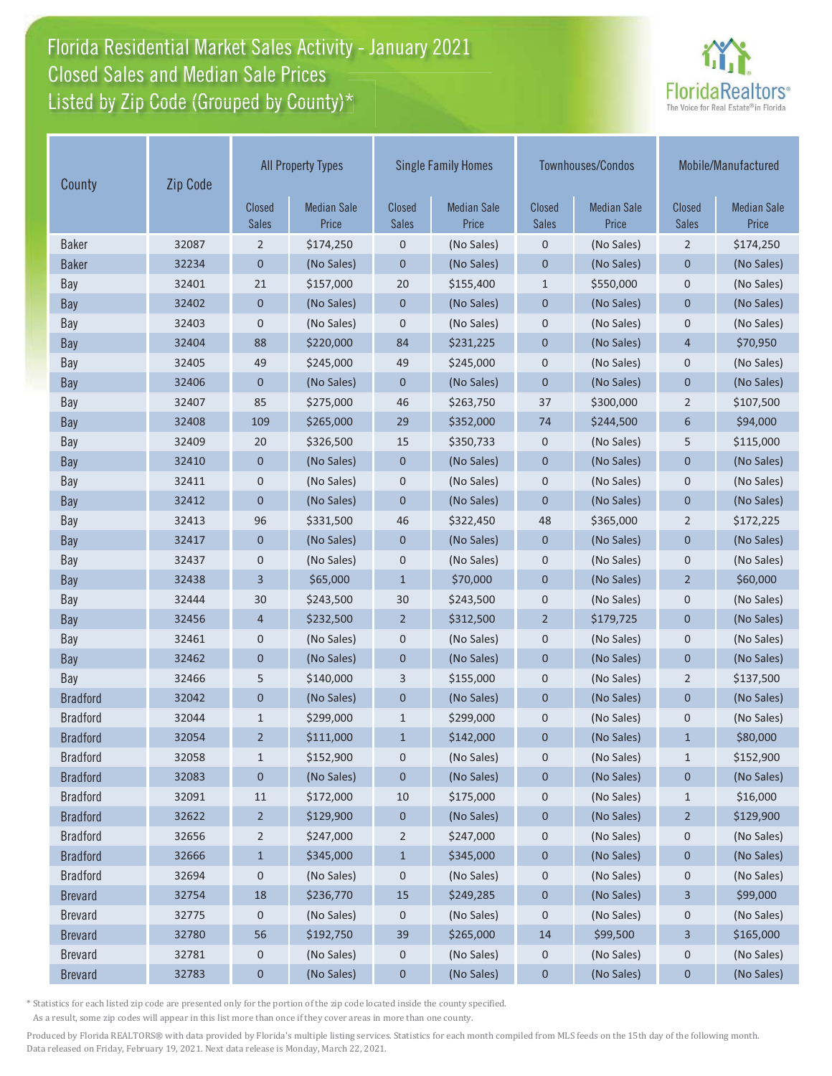# Florida Residential Market Sales Activity - January 2021 Florida Residential Market Sales Activity Closed Sales and Median Sale Prices<br>Listed by Zip Code (Grouped by County)\*



| County          | Zip Code | <b>All Property Types</b>     |                             | <b>Single Family Homes</b>    |                             |                               | Townhouses/Condos           | Mobile/Manufactured           |                             |
|-----------------|----------|-------------------------------|-----------------------------|-------------------------------|-----------------------------|-------------------------------|-----------------------------|-------------------------------|-----------------------------|
|                 |          | <b>Closed</b><br><b>Sales</b> | <b>Median Sale</b><br>Price | <b>Closed</b><br><b>Sales</b> | <b>Median Sale</b><br>Price | <b>Closed</b><br><b>Sales</b> | <b>Median Sale</b><br>Price | <b>Closed</b><br><b>Sales</b> | <b>Median Sale</b><br>Price |
| <b>Baker</b>    | 32087    | 2                             | \$174,250                   | $\mathbf 0$                   | (No Sales)                  | $\mathbf 0$                   | (No Sales)                  | $\overline{2}$                | \$174,250                   |
| <b>Baker</b>    | 32234    | $\mathbf{0}$                  | (No Sales)                  | $\mathbf 0$                   | (No Sales)                  | $\mathbf 0$                   | (No Sales)                  | 0                             | (No Sales)                  |
| Bay             | 32401    | 21                            | \$157,000                   | 20                            | \$155,400                   | $\mathbf{1}$                  | \$550,000                   | $\mathbf 0$                   | (No Sales)                  |
| <b>Bay</b>      | 32402    | $\mathbf 0$                   | (No Sales)                  | $\mathbf 0$                   | (No Sales)                  | $\mathbf 0$                   | (No Sales)                  | $\mathbf 0$                   | (No Sales)                  |
| Bay             | 32403    | $\pmb{0}$                     | (No Sales)                  | $\mathsf 0$                   | (No Sales)                  | $\mathbf 0$                   | (No Sales)                  | 0                             | (No Sales)                  |
| Bay             | 32404    | 88                            | \$220,000                   | 84                            | \$231,225                   | $\mathbf 0$                   | (No Sales)                  | $\overline{4}$                | \$70,950                    |
| Bay             | 32405    | 49                            | \$245,000                   | 49                            | \$245,000                   | $\mathbf{0}$                  | (No Sales)                  | $\boldsymbol{0}$              | (No Sales)                  |
| Bay             | 32406    | $\mathbf{0}$                  | (No Sales)                  | $\mathbf{0}$                  | (No Sales)                  | $\overline{0}$                | (No Sales)                  | $\overline{0}$                | (No Sales)                  |
| Bay             | 32407    | 85                            | \$275,000                   | 46                            | \$263,750                   | 37                            | \$300,000                   | $\overline{2}$                | \$107,500                   |
| Bay             | 32408    | 109                           | \$265,000                   | 29                            | \$352,000                   | 74                            | \$244,500                   | 6                             | \$94,000                    |
| Bay             | 32409    | 20                            | \$326,500                   | 15                            | \$350,733                   | $\mathbf 0$                   | (No Sales)                  | 5                             | \$115,000                   |
| Bay             | 32410    | $\mathbf 0$                   | (No Sales)                  | $\mathbf 0$                   | (No Sales)                  | $\mathbf 0$                   | (No Sales)                  | $\mathbf 0$                   | (No Sales)                  |
| Bay             | 32411    | $\pmb{0}$                     | (No Sales)                  | $\mathbf 0$                   | (No Sales)                  | $\mathbf 0$                   | (No Sales)                  | 0                             | (No Sales)                  |
| <b>Bay</b>      | 32412    | $\mathbf 0$                   | (No Sales)                  | $\mathbf 0$                   | (No Sales)                  | $\mathbf 0$                   | (No Sales)                  | $\mathbf 0$                   | (No Sales)                  |
| Bay             | 32413    | 96                            | \$331,500                   | 46                            | \$322,450                   | 48                            | \$365,000                   | $\overline{2}$                | \$172,225                   |
| Bay             | 32417    | $\mathbf 0$                   | (No Sales)                  | $\mathbf 0$                   | (No Sales)                  | $\mathbf 0$                   | (No Sales)                  | $\mathbf 0$                   | (No Sales)                  |
| Bay             | 32437    | $\pmb{0}$                     | (No Sales)                  | $\mathbf 0$                   | (No Sales)                  | $\mathbf 0$                   | (No Sales)                  | 0                             | (No Sales)                  |
| <b>Bay</b>      | 32438    | 3                             | \$65,000                    | $\mathbf{1}$                  | \$70,000                    | $\mathbf{0}$                  | (No Sales)                  | $\overline{2}$                | \$60,000                    |
| Bay             | 32444    | 30                            | \$243,500                   | 30                            | \$243,500                   | $\mathbf 0$                   | (No Sales)                  | $\boldsymbol{0}$              | (No Sales)                  |
| Bay             | 32456    | $\overline{4}$                | \$232,500                   | $\overline{2}$                | \$312,500                   | $\overline{2}$                | \$179,725                   | $\overline{0}$                | (No Sales)                  |
| Bay             | 32461    | $\mathbf 0$                   | (No Sales)                  | $\mathbf 0$                   | (No Sales)                  | $\mathbf 0$                   | (No Sales)                  | $\mathbf 0$                   | (No Sales)                  |
| Bay             | 32462    | $\mathbf{0}$                  | (No Sales)                  | $\mathbf{0}$                  | (No Sales)                  | $\overline{0}$                | (No Sales)                  | $\overline{0}$                | (No Sales)                  |
| Bay             | 32466    | 5                             | \$140,000                   | 3                             | \$155,000                   | $\mathbf 0$                   | (No Sales)                  | 2                             | \$137,500                   |
| <b>Bradford</b> | 32042    | $\mathbf 0$                   | (No Sales)                  | $\mathbf 0$                   | (No Sales)                  | $\mathbf 0$                   | (No Sales)                  | $\mathbf{0}$                  | (No Sales)                  |
| <b>Bradford</b> | 32044    | $\mathbf{1}$                  | \$299,000                   | $\mathbf{1}$                  | \$299,000                   | $\mathbf 0$                   | (No Sales)                  | $\mathbf 0$                   | (No Sales)                  |
| <b>Bradford</b> | 32054    | $\overline{2}$                | \$111,000                   | $\mathbf{1}$                  | \$142,000                   | $\mathbf 0$                   | (No Sales)                  | $\mathbf{1}$                  | \$80,000                    |
| <b>Bradford</b> | 32058    | $\mathbf{1}$                  | \$152,900                   | $\mathbf 0$                   | (No Sales)                  | 0                             | (No Sales)                  | $\mathbf{1}$                  | \$152,900                   |
| <b>Bradford</b> | 32083    | $\boldsymbol{0}$              | (No Sales)                  | $\boldsymbol{0}$              | (No Sales)                  | $\mathbf 0$                   | (No Sales)                  | 0                             | (No Sales)                  |
| <b>Bradford</b> | 32091    | 11                            | \$172,000                   | 10                            | \$175,000                   | $\mathbf 0$                   | (No Sales)                  | $\mathbf{1}$                  | \$16,000                    |
| <b>Bradford</b> | 32622    | $\overline{2}$                | \$129,900                   | $\boldsymbol{0}$              | (No Sales)                  | $\pmb{0}$                     | (No Sales)                  | $\overline{2}$                | \$129,900                   |
| <b>Bradford</b> | 32656    | $\overline{2}$                | \$247,000                   | $\overline{2}$                | \$247,000                   | 0                             | (No Sales)                  | 0                             | (No Sales)                  |
| <b>Bradford</b> | 32666    | $\mathbf{1}$                  | \$345,000                   | $\mathbf{1}$                  | \$345,000                   | $\pmb{0}$                     | (No Sales)                  | 0                             | (No Sales)                  |
| <b>Bradford</b> | 32694    | 0                             | (No Sales)                  | $\boldsymbol{0}$              | (No Sales)                  | 0                             | (No Sales)                  | 0                             | (No Sales)                  |
| <b>Brevard</b>  | 32754    | 18                            | \$236,770                   | 15                            | \$249,285                   | $\pmb{0}$                     | (No Sales)                  | 3                             | \$99,000                    |
| <b>Brevard</b>  | 32775    | $\boldsymbol{0}$              | (No Sales)                  | 0                             | (No Sales)                  | 0                             | (No Sales)                  | 0                             | (No Sales)                  |
| <b>Brevard</b>  | 32780    | 56                            | \$192,750                   | 39                            | \$265,000                   | 14                            | \$99,500                    | 3                             | \$165,000                   |
| <b>Brevard</b>  | 32781    | 0                             | (No Sales)                  | $\mathbf 0$                   | (No Sales)                  | $\mathbf 0$                   | (No Sales)                  | 0                             | (No Sales)                  |
| <b>Brevard</b>  | 32783    | $\pmb{0}$                     | (No Sales)                  | $\pmb{0}$                     | (No Sales)                  | $\pmb{0}$                     | (No Sales)                  | $\mathbf 0$                   | (No Sales)                  |

\* Statistics for each listed zip code are presented only for the portion of the zip code located inside the county specified.

As a result, some zip codes will appear in this list more than once if they cover areas in more than one county.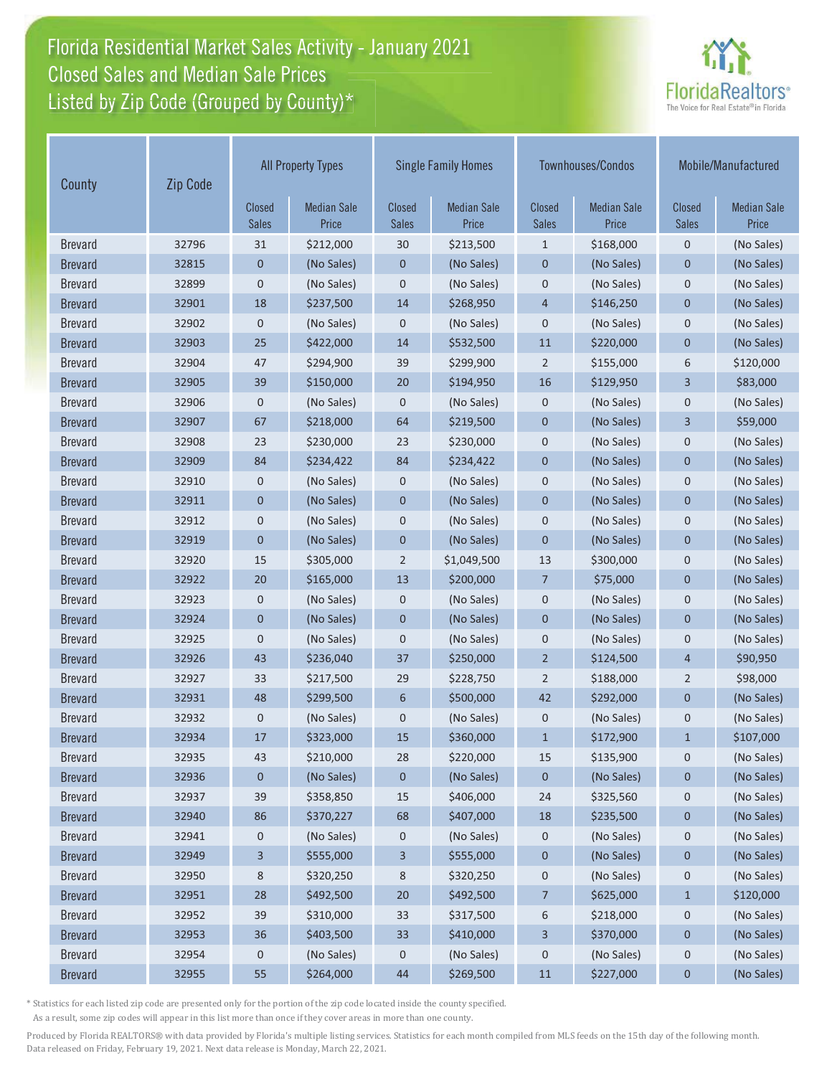# Florida Residential Market Sales Activity - January 2021 Florida Residential Market Sales Activity Closed Sales and Median Sale Prices<br>Listed by Zip Code (Grouped by County)\*



| County         | Zip Code |                               | <b>All Property Types</b>   | <b>Single Family Homes</b>    |                             | <b>Townhouses/Condos</b>      |                             | Mobile/Manufactured           |                             |
|----------------|----------|-------------------------------|-----------------------------|-------------------------------|-----------------------------|-------------------------------|-----------------------------|-------------------------------|-----------------------------|
|                |          | <b>Closed</b><br><b>Sales</b> | <b>Median Sale</b><br>Price | <b>Closed</b><br><b>Sales</b> | <b>Median Sale</b><br>Price | <b>Closed</b><br><b>Sales</b> | <b>Median Sale</b><br>Price | <b>Closed</b><br><b>Sales</b> | <b>Median Sale</b><br>Price |
| <b>Brevard</b> | 32796    | 31                            | \$212,000                   | 30                            | \$213,500                   | $\mathbf{1}$                  | \$168,000                   | $\mathbf 0$                   | (No Sales)                  |
| <b>Brevard</b> | 32815    | $\mathbf{0}$                  | (No Sales)                  | $\mathbf 0$                   | (No Sales)                  | $\mathbf 0$                   | (No Sales)                  | 0                             | (No Sales)                  |
| <b>Brevard</b> | 32899    | $\pmb{0}$                     | (No Sales)                  | $\mathbf 0$                   | (No Sales)                  | $\mathbf 0$                   | (No Sales)                  | $\mathbf 0$                   | (No Sales)                  |
| <b>Brevard</b> | 32901    | 18                            | \$237,500                   | 14                            | \$268,950                   | $\overline{4}$                | \$146,250                   | $\mathbf{0}$                  | (No Sales)                  |
| <b>Brevard</b> | 32902    | $\mathbf 0$                   | (No Sales)                  | $\mathbf 0$                   | (No Sales)                  | $\mathbf 0$                   | (No Sales)                  | $\mathbf 0$                   | (No Sales)                  |
| <b>Brevard</b> | 32903    | 25                            | \$422,000                   | 14                            | \$532,500                   | 11                            | \$220,000                   | $\mathbf 0$                   | (No Sales)                  |
| <b>Brevard</b> | 32904    | 47                            | \$294,900                   | 39                            | \$299,900                   | $\overline{2}$                | \$155,000                   | 6                             | \$120,000                   |
| <b>Brevard</b> | 32905    | 39                            | \$150,000                   | 20                            | \$194,950                   | 16                            | \$129,950                   | 3                             | \$83,000                    |
| <b>Brevard</b> | 32906    | 0                             | (No Sales)                  | $\mathbf 0$                   | (No Sales)                  | $\mathbf 0$                   | (No Sales)                  | 0                             | (No Sales)                  |
| <b>Brevard</b> | 32907    | 67                            | \$218,000                   | 64                            | \$219,500                   | $\overline{0}$                | (No Sales)                  | 3                             | \$59,000                    |
| <b>Brevard</b> | 32908    | 23                            | \$230,000                   | 23                            | \$230,000                   | $\mathbf 0$                   | (No Sales)                  | $\mathbf 0$                   | (No Sales)                  |
| <b>Brevard</b> | 32909    | 84                            | \$234,422                   | 84                            | \$234,422                   | $\mathbf 0$                   | (No Sales)                  | $\mathbf 0$                   | (No Sales)                  |
| <b>Brevard</b> | 32910    | 0                             | (No Sales)                  | $\mathbf 0$                   | (No Sales)                  | $\mathbf 0$                   | (No Sales)                  | $\mathbf 0$                   | (No Sales)                  |
| <b>Brevard</b> | 32911    | $\mathbf 0$                   | (No Sales)                  | $\mathbf 0$                   | (No Sales)                  | $\mathbf 0$                   | (No Sales)                  | $\mathbf 0$                   | (No Sales)                  |
| <b>Brevard</b> | 32912    | $\pmb{0}$                     | (No Sales)                  | $\mathbf 0$                   | (No Sales)                  | $\mathbf 0$                   | (No Sales)                  | $\mathbf 0$                   | (No Sales)                  |
| <b>Brevard</b> | 32919    | $\mathbf 0$                   | (No Sales)                  | $\mathbf 0$                   | (No Sales)                  | $\mathbf 0$                   | (No Sales)                  | $\mathbf 0$                   | (No Sales)                  |
| <b>Brevard</b> | 32920    | 15                            | \$305,000                   | $\overline{2}$                | \$1,049,500                 | 13                            | \$300,000                   | $\mathbf 0$                   | (No Sales)                  |
| <b>Brevard</b> | 32922    | 20                            | \$165,000                   | 13                            | \$200,000                   | $\overline{7}$                | \$75,000                    | $\mathbf 0$                   | (No Sales)                  |
| <b>Brevard</b> | 32923    | $\mathbf 0$                   | (No Sales)                  | $\mathbf 0$                   | (No Sales)                  | $\mathbf 0$                   | (No Sales)                  | $\mathbf 0$                   | (No Sales)                  |
| <b>Brevard</b> | 32924    | $\mathbf{0}$                  | (No Sales)                  | $\overline{0}$                | (No Sales)                  | $\overline{0}$                | (No Sales)                  | $\overline{0}$                | (No Sales)                  |
| <b>Brevard</b> | 32925    | $\mathbf 0$                   | (No Sales)                  | $\mathbf 0$                   | (No Sales)                  | $\mathbf 0$                   | (No Sales)                  | 0                             | (No Sales)                  |
| <b>Brevard</b> | 32926    | 43                            | \$236,040                   | 37                            | \$250,000                   | $\overline{2}$                | \$124,500                   | $\overline{4}$                | \$90,950                    |
| <b>Brevard</b> | 32927    | 33                            | \$217,500                   | 29                            | \$228,750                   | $\overline{2}$                | \$188,000                   | 2                             | \$98,000                    |
| <b>Brevard</b> | 32931    | 48                            | \$299,500                   | 6                             | \$500,000                   | 42                            | \$292,000                   | $\mathbf 0$                   | (No Sales)                  |
| <b>Brevard</b> | 32932    | $\pmb{0}$                     | (No Sales)                  | $\mathbf 0$                   | (No Sales)                  | $\mathbf 0$                   | (No Sales)                  | $\mathbf 0$                   | (No Sales)                  |
| <b>Brevard</b> | 32934    | 17                            | \$323,000                   | 15                            | \$360,000                   | $\mathbf{1}$                  | \$172,900                   | $\mathbf{1}$                  | \$107,000                   |
| <b>Brevard</b> | 32935    | 43                            | \$210,000                   | 28                            | \$220,000                   | 15                            | \$135,900                   | 0                             | (No Sales)                  |
| <b>Brevard</b> | 32936    | $\boldsymbol{0}$              | (No Sales)                  | $\boldsymbol{0}$              | (No Sales)                  | 0                             | (No Sales)                  | 0                             | (No Sales)                  |
| <b>Brevard</b> | 32937    | 39                            | \$358,850                   | 15                            | \$406,000                   | 24                            | \$325,560                   | $\mathbf 0$                   | (No Sales)                  |
| <b>Brevard</b> | 32940    | 86                            | \$370,227                   | 68                            | \$407,000                   | 18                            | \$235,500                   | $\pmb{0}$                     | (No Sales)                  |
| <b>Brevard</b> | 32941    | 0                             | (No Sales)                  | 0                             | (No Sales)                  | 0                             | (No Sales)                  | 0                             | (No Sales)                  |
| <b>Brevard</b> | 32949    | 3                             | \$555,000                   | 3                             | \$555,000                   | 0                             | (No Sales)                  | 0                             | (No Sales)                  |
| <b>Brevard</b> | 32950    | 8                             | \$320,250                   | 8                             | \$320,250                   | 0                             | (No Sales)                  | $\mathbf 0$                   | (No Sales)                  |
| <b>Brevard</b> | 32951    | 28                            | \$492,500                   | 20                            | \$492,500                   | $\overline{7}$                | \$625,000                   | $\mathbf{1}$                  | \$120,000                   |
| <b>Brevard</b> | 32952    | 39                            | \$310,000                   | 33                            | \$317,500                   | 6                             | \$218,000                   | $\mathbf 0$                   | (No Sales)                  |
| <b>Brevard</b> | 32953    | 36                            | \$403,500                   | 33                            | \$410,000                   | 3                             | \$370,000                   | 0                             | (No Sales)                  |
| <b>Brevard</b> | 32954    | 0                             | (No Sales)                  | 0                             | (No Sales)                  | $\pmb{0}$                     | (No Sales)                  | 0                             | (No Sales)                  |
| <b>Brevard</b> | 32955    | 55                            | \$264,000                   | 44                            | \$269,500                   | $11\,$                        | \$227,000                   | 0                             | (No Sales)                  |

\* Statistics for each listed zip code are presented only for the portion of the zip code located inside the county specified.

As a result, some zip codes will appear in this list more than once if they cover areas in more than one county.